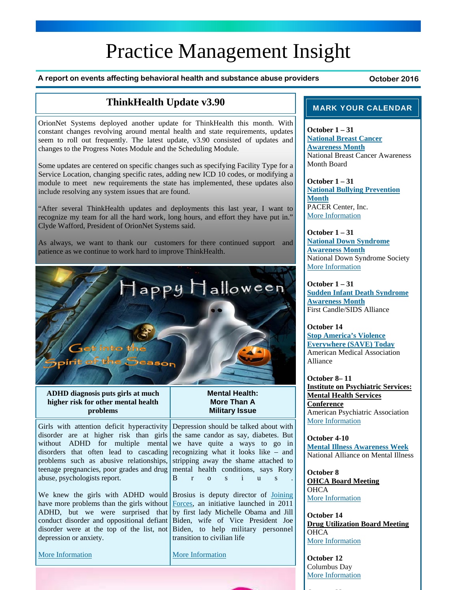# Practice Management Insight

A report on events affecting behavioral health and substance abuse providers **business** October 2016

## **ThinkHealth Update v3.90**

OrionNet Systems deployed another update for ThinkHealth this month. With constant changes revolving around mental health and state requirements, updates seem to roll out frequently. The latest update, v3.90 consisted of updates and changes to the Progress Notes Module and the Scheduling Module.

Some updates are centered on specific changes such as specifying Facility Type for a Service Location, changing specific rates, adding new ICD 10 codes, or modifying a module to meet new requirements the state has implemented, these updates also include resolving any system issues that are found.

"After several ThinkHealth updates and deployments this last year, I want to recognize my team for all the hard work, long hours, and effort they have put in." Clyde Wafford, President of OrionNet Systems said.

As always, we want to thank our customers for there continued support and patience as we continue to work hard to improve ThinkHealth.



**ADHD diagnosis puts girls at much higher risk for other mental health problems** 

Girls with attention deficit hyperactivity disorder are at higher risk than girls the same candor as say, diabetes. But without ADHD for multiple mental disorders that often lead to cascading problems such as abusive relationships, teenage pregnancies, poor grades and drug mental health conditions, says Rory abuse, psychologists report.

We knew the girls with ADHD would Brosius is deputy director of Joining have more problems than the girls without ADHD, but we were surprised that conduct disorder and oppositional defiant Biden, wife of Vice President Joe disorder were at the top of the list, not depression or anxiety.

More Information

### **Mental Health: More Than A Military Issue**

Depression should be talked about with we have quite a ways to go in recognizing what it looks like – and stripping away the shame attached to B r o s i u s .

Forces, an initiative launched in 2011 by first lady Michelle Obama and Jill Biden, to help military personnel transition to civilian life

More Information

### MARK YOUR CALENDAR

**October 1 – 31 National Breast Cancer Awareness Month** National Breast Cancer Awareness Month Board

**October 1 – 31 National Bullying Prevention Month** PACER Center, Inc. More Information

**October 1 – 31 National Down Syndrome Awareness Month** National Down Syndrome Society More Information

**October 1 – 31 Sudden Infant Death Syndrome Awareness Month** First Candle/SIDS Alliance

**October 14 Stop America's Violence Everywhere (SAVE) Today** American Medical Association Alliance

**October 8– 11 Institute on Psychiatric Services: Mental Health Services Conference** American Psychiatric Association More Information

**October 4-10 Mental Illness Awareness Week** National Alliance on Mental Illness

**October 8 OHCA Board Meeting OHCA** More Information

**October 14 Drug Utilization Board Meeting OHCA** More Information

**October 12**  Columbus Day More Information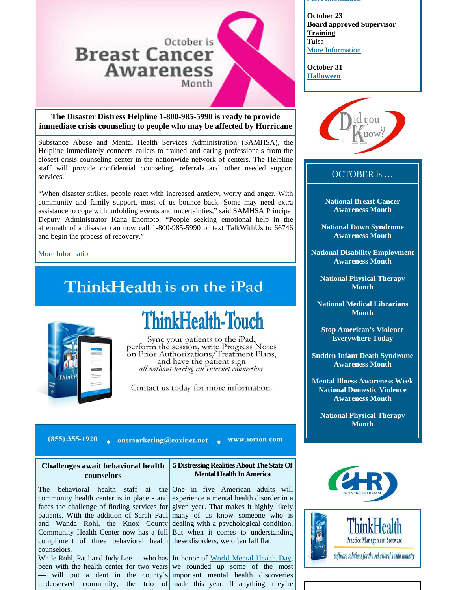## October is **Breast Cancer Awareness**

Month

**The Disaster Distress Helpline 1-800-985-5990 is ready to provide immediate crisis counseling to people who may be affected by Hurricane** 

Substance Abuse and Mental Health Services Administration (SAMHSA), the Helpline immediately connects callers to trained and caring professionals from the closest crisis counseling center in the nationwide network of centers. The Helpline staff will provide confidential counseling, referrals and other needed support services.

"When disaster strikes, people react with increased anxiety, worry and anger. With community and family support, most of us bounce back. Some may need extra assistance to cope with unfolding events and uncertainties," said SAMHSA Principal Deputy Administrator Kana Enomoto. "People seeking emotional help in the aftermath of a disaster can now call 1-800-985-5990 or text TalkWithUs to 66746 and begin the process of recovery."

More Information

## ThinkHealth is on the iPad



# ThinkHealth-Touch

Sync your patients to the iPad,<br>perform the session, write Progress Notes<br>on Prior Authorizations/Treatment Plans, and have the patient sign<br>all without having an Internet connection.

Contact us today for more information.

 $(855)$  355-1920 onsmarketing@coxinet.net www.iorion.com

| Challenges await behavioral health<br>counselors                                                                                                          | 5 Distressing Realities About The State Of<br><b>Mental Health In America</b> |
|-----------------------------------------------------------------------------------------------------------------------------------------------------------|-------------------------------------------------------------------------------|
| The behavioral health staff at the One in five American adults will<br>community health center is in place - and experience a mental health disorder in a |                                                                               |
| faces the challenge of finding services for given year. That makes it highly likely                                                                       |                                                                               |
| patients. With the addition of Sarah Paul many of us know someone who is                                                                                  |                                                                               |
| and Wanda Rohl, the Knox County dealing with a psychological condition.                                                                                   |                                                                               |
| $\alpha$ , and the H alternative second control $\alpha$ if $\mathbf{D}_{\alpha}$ and $\alpha$ is a second control in $\mathbf{D}_{\alpha}$               |                                                                               |

counselors. While Rohl, Paul and Judy Lee — who has In honor of World Mental Health Day, been with the health center for two years we rounded up some of the most — will put a dent in the county's important mental health discoveries underserved community, the trio of made this year. If anything, they're

Community Health Center now has a full But when it comes to understanding compliment of three behavioral health these disorders, we often fall flat.

#### More Information

**October 23 Board approved Supervisor Training**  Tulsa More Information

**October 31 Halloween**



### OCTOBER is …

**National Breast Cancer Awareness Month** 

**National Down Syndrome Awareness Month** 

**National Disability Employment Awareness Month** 

**National Physical Therapy Month** 

**National Medical Librarians Month** 

**Stop American's Violence Everywhere Today** 

**Sudden Infant Death Syndrome Awareness Month** 

**Mental Illness Awareness Week National Domestic Violence Awareness Month** 

**National Physical Therapy Month** 





software solutions for the behavioral health industry